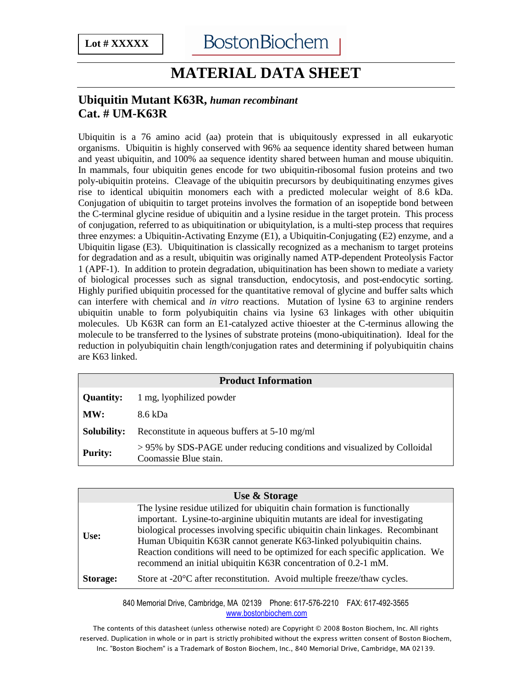## **MATERIAL DATA SHEET**

## **Ubiquitin Mutant K63R,** *human recombinant* **Cat. # UM-K63R**

Ubiquitin is a 76 amino acid (aa) protein that is ubiquitously expressed in all eukaryotic organisms. Ubiquitin is highly conserved with 96% aa sequence identity shared between human and yeast ubiquitin, and 100% aa sequence identity shared between human and mouse ubiquitin. In mammals, four ubiquitin genes encode for two ubiquitin-ribosomal fusion proteins and two poly-ubiquitin proteins. Cleavage of the ubiquitin precursors by deubiquitinating enzymes gives rise to identical ubiquitin monomers each with a predicted molecular weight of 8.6 kDa. Conjugation of ubiquitin to target proteins involves the formation of an isopeptide bond between the C-terminal glycine residue of ubiquitin and a lysine residue in the target protein. This process of conjugation, referred to as ubiquitination or ubiquitylation, is a multi-step process that requires three enzymes: a Ubiquitin-Activating Enzyme (E1), a Ubiquitin-Conjugating (E2) enzyme, and a Ubiquitin ligase (E3). Ubiquitination is classically recognized as a mechanism to target proteins for degradation and as a result, ubiquitin was originally named ATP-dependent Proteolysis Factor 1 (APF-1). In addition to protein degradation, ubiquitination has been shown to mediate a variety of biological processes such as signal transduction, endocytosis, and post-endocytic sorting. Highly purified ubiquitin processed for the quantitative removal of glycine and buffer salts which can interfere with chemical and *in vitro* reactions. Mutation of lysine 63 to arginine renders ubiquitin unable to form polyubiquitin chains via lysine 63 linkages with other ubiquitin molecules. Ub K63R can form an E1-catalyzed active thioester at the C-terminus allowing the molecule to be transferred to the lysines of substrate proteins (mono-ubiquitination). Ideal for the reduction in polyubiquitin chain length/conjugation rates and determining if polyubiquitin chains are K63 linked.

| <b>Product Information</b> |                                                                                                 |  |
|----------------------------|-------------------------------------------------------------------------------------------------|--|
| <b>Quantity:</b>           | 1 mg, lyophilized powder                                                                        |  |
| MW:                        | 8.6 kDa                                                                                         |  |
| Solubility:                | Reconstitute in aqueous buffers at 5-10 mg/ml                                                   |  |
| <b>Purity:</b>             | >95% by SDS-PAGE under reducing conditions and visualized by Colloidal<br>Coomassie Blue stain. |  |

|          | <b>Use &amp; Storage</b>                                                                                                                                                                                                                                                                                                                                                                                                                                                |
|----------|-------------------------------------------------------------------------------------------------------------------------------------------------------------------------------------------------------------------------------------------------------------------------------------------------------------------------------------------------------------------------------------------------------------------------------------------------------------------------|
| Use:     | The lysine residue utilized for ubiquitin chain formation is functionally<br>important. Lysine-to-arginine ubiquitin mutants are ideal for investigating<br>biological processes involving specific ubiquitin chain linkages. Recombinant<br>Human Ubiquitin K63R cannot generate K63-linked polyubiquitin chains.<br>Reaction conditions will need to be optimized for each specific application. We<br>recommend an initial ubiquitin K63R concentration of 0.2-1 mM. |
| Storage: | Store at -20 <sup>o</sup> C after reconstitution. Avoid multiple freeze/thaw cycles.                                                                                                                                                                                                                                                                                                                                                                                    |

840 Memorial Drive, Cambridge, MA 02139 Phone: 617-576-2210 FAX: 617-492-3565 www.bostonbiochem.com

The contents of this datasheet (unless otherwise noted) are Copyright © 2008 Boston Biochem, Inc. All rights reserved. Duplication in whole or in part is strictly prohibited without the express written consent of Boston Biochem, Inc. "Boston Biochem" is a Trademark of Boston Biochem, Inc., 840 Memorial Drive, Cambridge, MA 02139.